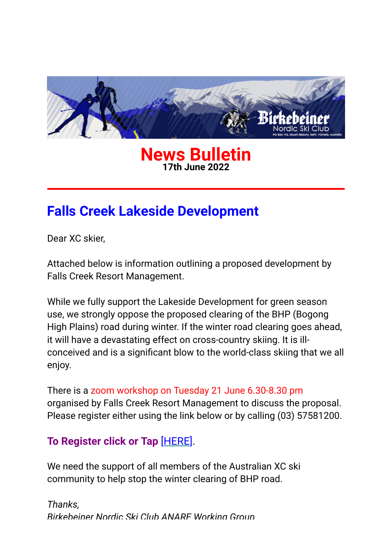

#### **News Bulletin 17th June 2022**

# **Falls Creek Lakeside Development**

Dear XC skier,

Attached below is information outlining a proposed development by Falls Creek Resort Management.

While we fully support the Lakeside Development for green season use, we strongly oppose the proposed clearing of the BHP (Bogong High Plains) road during winter. If the winter road clearing goes ahead, it will have a devastating effect on cross-country skiing. It is illconceived and is a significant blow to the world-class skiing that we all enjoy.

There is a zoom workshop on Tuesday 21 June 6.30-8.30 pm organised by Falls Creek Resort Management to discuss the proposal. Please register either using the link below or by calling (03) 57581200.

### **To Register click or Tap** [\[HERE\]](https://birkebeiner.us19.list-manage.com/track/click?u=8bbdf679e31473895abe8516f&id=1a52dd43a5&e=5b0b819745).

We need the support of all members of the Australian XC ski community to help stop the winter clearing of BHP road.

*Thanks, Birkebeiner Nordic Ski Club ANARE Working Group*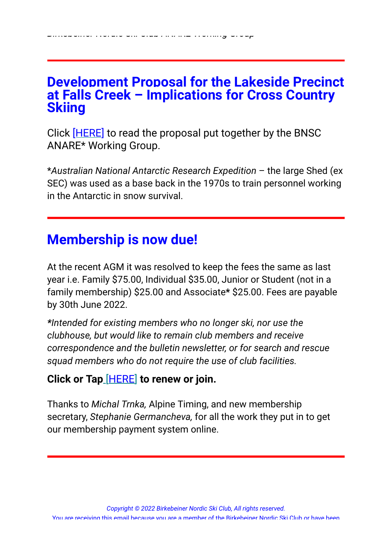## **Development Proposal for the Lakeside Precinct at Falls Creek – Implications for Cross Country Skiing**

Click [\[HERE\]](https://birkebeiner.us19.list-manage.com/track/click?u=8bbdf679e31473895abe8516f&id=edf152f9e2&e=5b0b819745) to read the proposal put together by the BNSC ANARE\* Working Group.

\**Australian National Antarctic Research Expedition* – the large Shed (ex SEC) was used as a base back in the 1970s to train personnel working in the Antarctic in snow survival.

# **Membership is now due!**

At the recent AGM it was resolved to keep the fees the same as last year i.e. Family \$75.00, Individual \$35.00, Junior or Student (not in a family membership) \$25.00 and Associate**\*** \$25.00. Fees are payable by 30th June 2022.

*\*Intended for existing members who no longer ski, nor use the clubhouse, but would like to remain club members and receive correspondence and the bulletin newsletter, or for search and rescue squad members who do not require the use of club facilities.*

### **Click or Tap** [\[HERE\]](https://birkebeiner.us19.list-manage.com/track/click?u=8bbdf679e31473895abe8516f&id=95752f067e&e=5b0b819745) **to renew or join.**

Thanks to *Michal Trnka,* Alpine Timing, and new membership secretary, *Stephanie Germancheva,* for all the work they put in to get our membership payment system online.